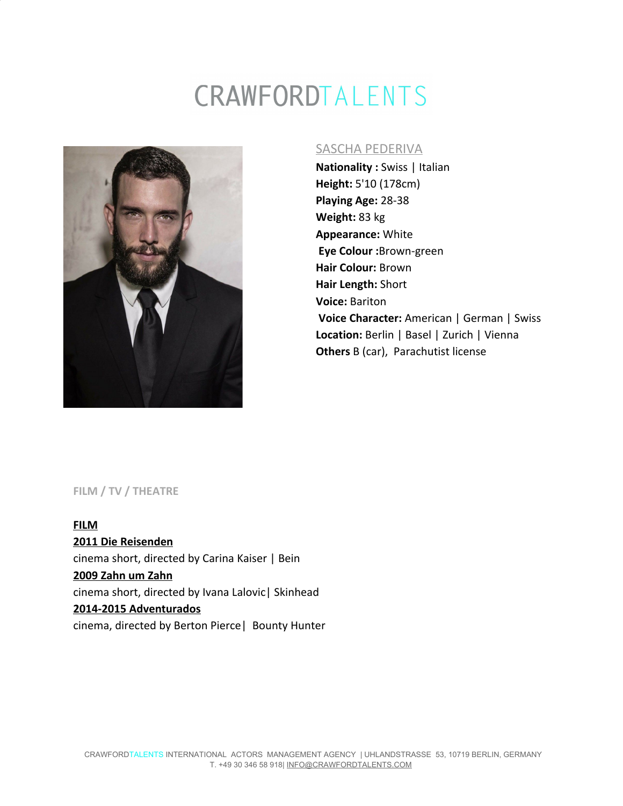# CRAWFORDTALENTS



#### SASCHA PEDERIVA

**Nationality :** Swiss | Italian **Height:** 5'10 (178cm) **Playing Age:** 28-38 **Weight:** 83 kg **Appearance:** White  **Eye Colour :**Brown-green **Hair Colour:** Brown **Hair Length:** Short **Voice:** Bariton  **Voice Character:** American | German | Swiss **Location:** Berlin | Basel | Zurich | Vienna **Others** B (car), Parachutist license

#### **FILM / TV / THEATRE**

**FILM 2011 Die Reisenden** cinema short, directed by Carina Kaiser | Bein **2009 Zahn um Zahn** cinema short, directed by Ivana Lalovic| Skinhead **2014-2015 Adventurados** cinema, directed by Berton Pierce| Bounty Hunter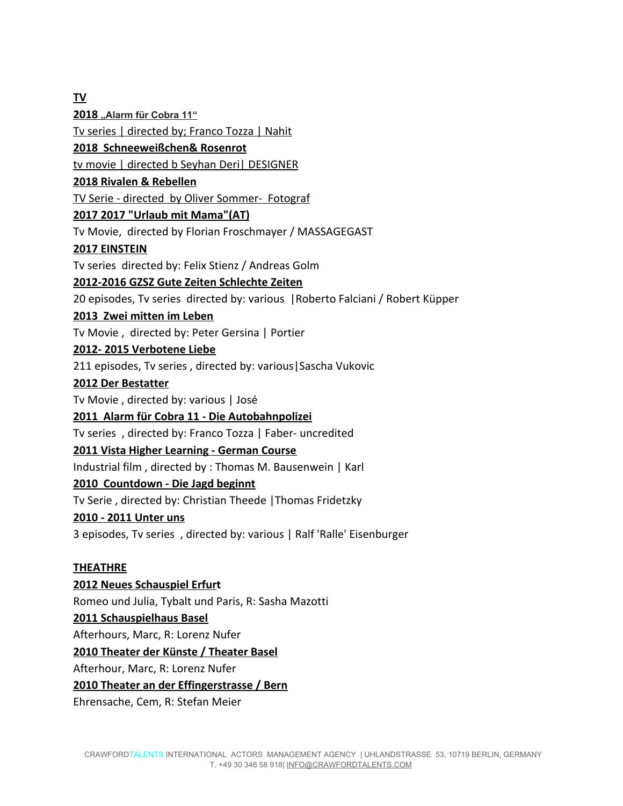**TV 2018 "Alarm für Cobra 11"** Tv series | directed by; Franco Tozza | Nahit **2018 Schneeweißchen& Rosenrot** tv movie | directed b Seyhan Deri| DESIGNER **2018 Rivalen & Rebellen** TV Serie - directed by Oliver Sommer- Fotograf **2017 2017 "Urlaub mit Mama"(AT)** Tv Movie, directed by Florian Froschmayer / MASSAGEGAST **2017 EINSTEIN** Tv series directed by: Felix Stienz / Andreas Golm **2012-2016 GZSZ Gute Zeiten Schlechte Zeiten** 20 episodes, Tv series directed by: various |Roberto Falciani / Robert Küpper **2013 Zwei mitten im Leben** Tv Movie , directed by: Peter Gersina | Portier **2012- 2015 Verbotene Liebe** 211 episodes, Tv series , directed by: various|Sascha Vukovic **2012 Der Bestatter** Tv Movie , directed by: various | José **2011 Alarm für Cobra 11 - Die Autobahnpolizei** Tv series , directed by: Franco Tozza | Faber- uncredited **2011 Vista Higher Learning - German Course** Industrial film , directed by : Thomas M. Bausenwein | Karl **2010 Countdown - Die Jagd beginnt** Tv Serie , directed by: Christian Theede |Thomas Fridetzky **2010 - 2011 Unter uns** 3 episodes, Tv series , directed by: various | Ralf 'Ralle' Eisenburger **THEATHRE**

**2012 Neues Schauspiel Erfurt** Romeo und Julia, Tybalt und Paris, R: Sasha Mazotti **2011 Schauspielhaus Basel** Afterhours, Marc, R: Lorenz Nufer **2010 Theater der Künste / Theater Basel** Afterhour, Marc, R: Lorenz Nufer **2010 Theater an der Effingerstrasse / Bern**

Ehrensache, Cem, R: Stefan Meier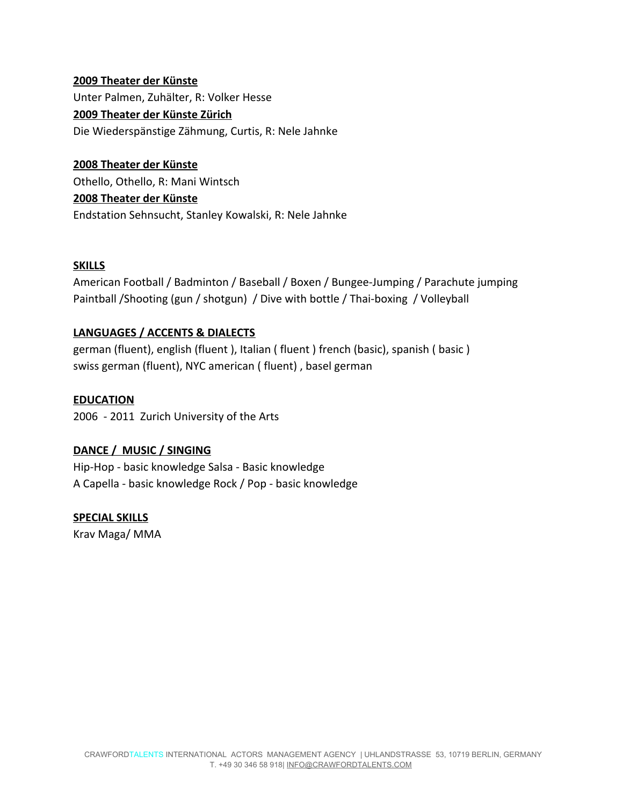# **2009 Theater der Künste** Unter Palmen, Zuhälter, R: Volker Hesse **2009 Theater der Künste Zürich** Die Wiederspänstige Zähmung, Curtis, R: Nele Jahnke

**2008 Theater der Künste** Othello, Othello, R: Mani Wintsch **2008 Theater der Künste** Endstation Sehnsucht, Stanley Kowalski, R: Nele Jahnke

#### **SKILLS**

American Football / Badminton / Baseball / Boxen / Bungee-Jumping / Parachute jumping Paintball /Shooting (gun / shotgun) / Dive with bottle / Thai-boxing / Volleyball

## **LANGUAGES / ACCENTS & DIALECTS**

german (fluent), english (fluent ), Italian ( fluent ) french (basic), spanish ( basic ) swiss german (fluent), NYC american ( fluent) , basel german

**EDUCATION**

2006 - 2011 Zurich University of the Arts

## **DANCE / MUSIC / SINGING**

Hip-Hop - basic knowledge Salsa - Basic knowledge A Capella - basic knowledge Rock / Pop - basic knowledge

## **SPECIAL SKILLS**

Krav Maga/ MMA